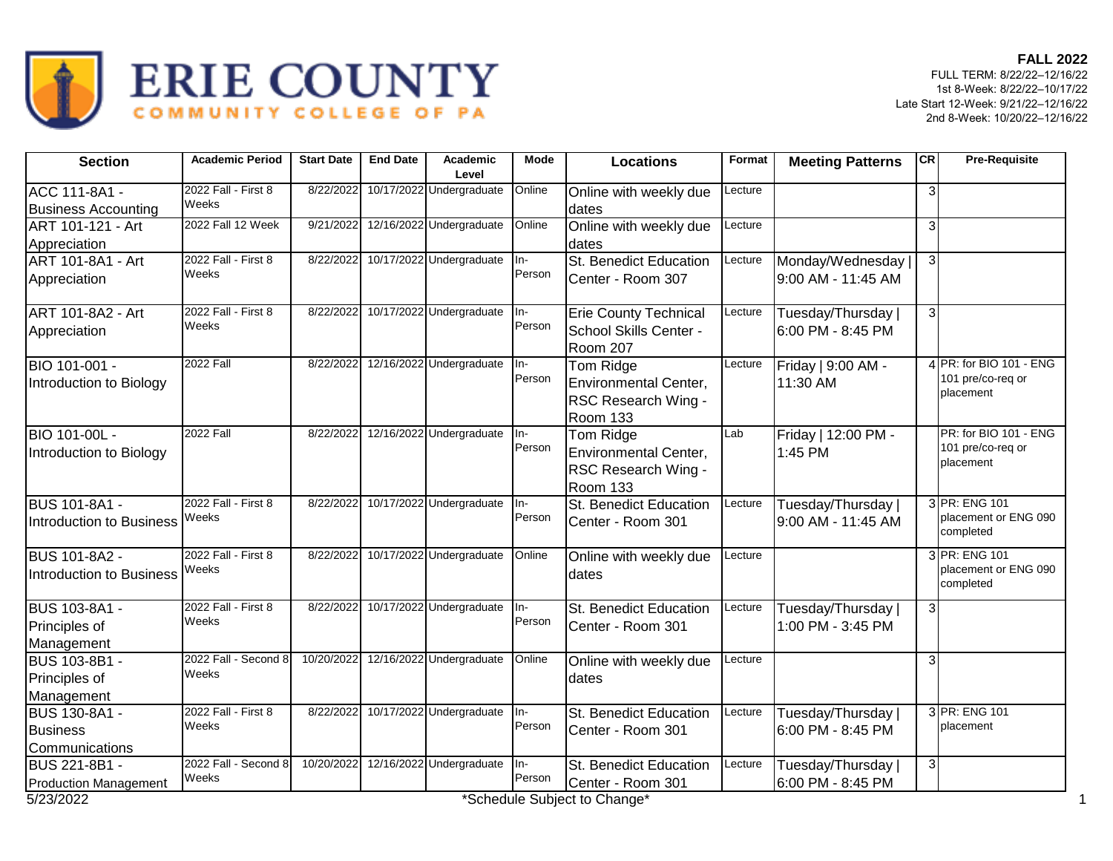

| <b>Section</b>                  | <b>Academic Period</b> | <b>Start Date</b> | <b>End Date</b> | Academic<br>Level        | <b>Mode</b>     | <b>Locations</b>                          | Format  | <b>Meeting Patterns</b> | CR             | <b>Pre-Requisite</b>              |
|---------------------------------|------------------------|-------------------|-----------------|--------------------------|-----------------|-------------------------------------------|---------|-------------------------|----------------|-----------------------------------|
| ACC 111-8A1 -                   | 2022 Fall - First 8    | 8/22/2022         |                 | 10/17/2022 Undergraduate | Online          | Online with weekly due                    | Lecture |                         | 3              |                                   |
| <b>Business Accounting</b>      | <b>Weeks</b>           |                   |                 |                          |                 | dates                                     |         |                         |                |                                   |
| ART 101-121 - Art               | 2022 Fall 12 Week      | 9/21/2022         |                 | 12/16/2022 Undergraduate | Online          | Online with weekly due                    | Lecture |                         | 3              |                                   |
| Appreciation                    |                        |                   |                 |                          |                 | dates                                     |         |                         |                |                                   |
| ART 101-8A1 - Art               | 2022 Fall - First 8    | 8/22/2022         |                 | 10/17/2022 Undergraduate | $\overline{In}$ | St. Benedict Education                    | Lecture | Monday/Wednesday        | 3 <sup>1</sup> |                                   |
| Appreciation                    | Weeks                  |                   |                 |                          | Person          | Center - Room 307                         |         | 9:00 AM - 11:45 AM      |                |                                   |
| ART 101-8A2 - Art               | 2022 Fall - First 8    | 8/22/2022         |                 | 10/17/2022 Undergraduate | In-             | <b>Erie County Technical</b>              | Lecture | Tuesday/Thursday        | $\overline{3}$ |                                   |
| Appreciation                    | Weeks                  |                   |                 |                          | Person          | School Skills Center -<br><b>Room 207</b> |         | 6:00 PM - 8:45 PM       |                |                                   |
| BIO 101-001 -                   | <b>2022 Fall</b>       | 8/22/2022         |                 | 12/16/2022 Undergraduate | In-             | Tom Ridge                                 | Lecture | Friday   9:00 AM -      |                | 4 PR: for BIO 101 - ENG           |
| Introduction to Biology         |                        |                   |                 |                          | Person          | Environmental Center,                     |         | 11:30 AM                |                | 101 pre/co-req or                 |
|                                 |                        |                   |                 |                          |                 | RSC Research Wing -                       |         |                         |                | placement                         |
|                                 |                        |                   |                 |                          |                 | <b>Room 133</b>                           |         |                         |                |                                   |
| <b>BIO 101-00L -</b>            | <b>2022 Fall</b>       | 8/22/2022         |                 | 12/16/2022 Undergraduate | In-             | Tom Ridge                                 | Lab     | Friday   12:00 PM -     |                | PR: for BIO 101 - ENG             |
| Introduction to Biology         |                        |                   |                 |                          | Person          | Environmental Center,                     |         | 1:45 PM                 |                | 101 pre/co-req or                 |
|                                 |                        |                   |                 |                          |                 | RSC Research Wing -                       |         |                         |                | placement                         |
|                                 |                        |                   |                 |                          |                 | <b>Room 133</b>                           |         |                         |                |                                   |
| <b>BUS 101-8A1 -</b>            | 2022 Fall - First 8    | 8/22/2022         |                 | 10/17/2022 Undergraduate | In-             | St. Benedict Education                    | Lecture | Tuesday/Thursday        |                | 3 PR: ENG 101                     |
| <b>Introduction to Business</b> | Weeks                  |                   |                 |                          | Person          | Center - Room 301                         |         | 9:00 AM - 11:45 AM      |                | placement or ENG 090<br>completed |
| <b>BUS 101-8A2 -</b>            | 2022 Fall - First 8    | 8/22/2022         |                 | 10/17/2022 Undergraduate | Online          | Online with weekly due                    | Lecture |                         |                | 3 PR: ENG 101                     |
| <b>Introduction to Business</b> | Weeks                  |                   |                 |                          |                 | dates                                     |         |                         |                | placement or ENG 090<br>completed |
| <b>BUS 103-8A1 -</b>            | 2022 Fall - First 8    | 8/22/2022         |                 | 10/17/2022 Undergraduate | In-             | St. Benedict Education                    | Lecture | Tuesday/Thursday        | $\overline{3}$ |                                   |
| Principles of                   | Weeks                  |                   |                 |                          | Person          | Center - Room 301                         |         | 1:00 PM - 3:45 PM       |                |                                   |
| Management                      |                        |                   |                 |                          |                 |                                           |         |                         |                |                                   |
| <b>BUS 103-8B1 -</b>            | 2022 Fall - Second 8   | 10/20/2022        |                 | 12/16/2022 Undergraduate | Online          | Online with weekly due                    | Lecture |                         | 3              |                                   |
| Principles of                   | Weeks                  |                   |                 |                          |                 | dates                                     |         |                         |                |                                   |
| Management                      |                        |                   |                 |                          |                 |                                           |         |                         |                |                                   |
| <b>BUS 130-8A1 -</b>            | 2022 Fall - First 8    | 8/22/2022         |                 | 10/17/2022 Undergraduate | In-             | St. Benedict Education                    | Lecture | Tuesday/Thursday        |                | 3 PR: ENG 101                     |
| <b>Business</b>                 | Weeks                  |                   |                 |                          | Person          | Center - Room 301                         |         | 6:00 PM - 8:45 PM       |                | placement                         |
| Communications                  |                        |                   |                 |                          |                 |                                           |         |                         |                |                                   |
| <b>BUS 221-8B1 -</b>            | 2022 Fall - Second 8   | 10/20/2022        |                 | 12/16/2022 Undergraduate | In-             | St. Benedict Education                    | Lecture | Tuesday/Thursday        | 3I             |                                   |
| <b>Production Management</b>    | Weeks                  |                   |                 |                          | Person          | Center - Room 301                         |         | 6:00 PM - 8:45 PM       |                |                                   |
| 5/23/2022                       |                        |                   |                 |                          |                 | *Schedule Subject to Change*              |         |                         |                |                                   |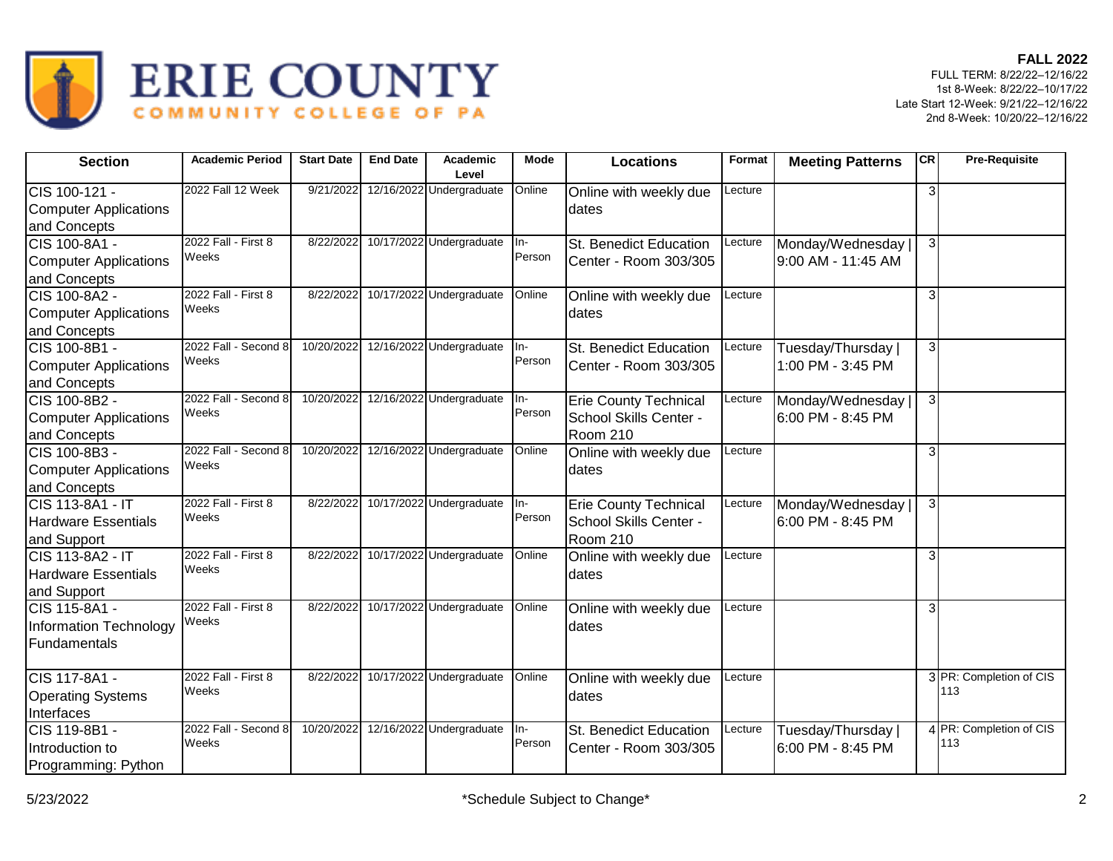



| <b>Section</b>                                                       | <b>Academic Period</b>        | <b>Start Date</b> | <b>End Date</b> | Academic<br>Level        | Mode            | <b>Locations</b>                                                          | Format  | <b>Meeting Patterns</b>                  | CR             | <b>Pre-Requisite</b>           |
|----------------------------------------------------------------------|-------------------------------|-------------------|-----------------|--------------------------|-----------------|---------------------------------------------------------------------------|---------|------------------------------------------|----------------|--------------------------------|
| CIS 100-121 -<br><b>Computer Applications</b><br>and Concepts        | 2022 Fall 12 Week             | 9/21/2022         |                 | 12/16/2022 Undergraduate | Online          | Online with weekly due<br>dates                                           | Lecture |                                          | $\overline{3}$ |                                |
| ICIS 100-8A1 -<br>Computer Applications<br>and Concepts              | 2022 Fall - First 8<br>Weeks  | 8/22/2022         |                 | 10/17/2022 Undergraduate | lln-<br>Person  | St. Benedict Education<br>Center - Room 303/305                           | Lecture | Monday/Wednesday  <br>9:00 AM - 11:45 AM | $\overline{3}$ |                                |
| CIS 100-8A2 -<br>Computer Applications<br>and Concepts               | 2022 Fall - First 8<br>Weeks  | 8/22/2022         |                 | 10/17/2022 Undergraduate | Online          | Online with weekly due<br>dates                                           | Lecture |                                          | 3              |                                |
| CIS 100-8B1 -<br>Computer Applications<br>and Concepts               | 2022 Fall - Second 8<br>Weeks | 10/20/2022        |                 | 12/16/2022 Undergraduate | $In-$<br>Person | St. Benedict Education<br>Center - Room 303/305                           | Lecture | Tuesday/Thursday  <br>1:00 PM - 3:45 PM  | $\overline{3}$ |                                |
| CIS 100-8B2 -<br><b>Computer Applications</b><br>and Concepts        | 2022 Fall - Second 8<br>Weeks | 10/20/2022        |                 | 12/16/2022 Undergraduate | In-<br>Person   | <b>Erie County Technical</b><br>School Skills Center -<br><b>Room 210</b> | Lecture | Monday/Wednesday  <br>6:00 PM - 8:45 PM  | $\overline{3}$ |                                |
| ICIS 100-8B3 -<br>Computer Applications<br>and Concepts              | 2022 Fall - Second 8<br>Weeks | 10/20/2022        |                 | 12/16/2022 Undergraduate | Online          | Online with weekly due<br>dates                                           | Lecture |                                          | $\overline{3}$ |                                |
| CIS 113-8A1 - IT<br><b>Hardware Essentials</b><br>and Support        | 2022 Fall - First 8<br>Weeks  | 8/22/2022         |                 | 10/17/2022 Undergraduate | $In-$<br>Person | <b>Erie County Technical</b><br>School Skills Center -<br>Room 210        | Lecture | Monday/Wednesday  <br>6:00 PM - 8:45 PM  | $\overline{3}$ |                                |
| <b>CIS 113-8A2 - IT</b><br><b>Hardware Essentials</b><br>and Support | 2022 Fall - First 8<br>Weeks  | 8/22/2022         |                 | 10/17/2022 Undergraduate | Online          | Online with weekly due<br>dates                                           | Lecture |                                          | $\overline{3}$ |                                |
| CIS 115-8A1 -<br><b>Information Technology</b><br>Fundamentals       | 2022 Fall - First 8<br>Weeks  | 8/22/2022         |                 | 10/17/2022 Undergraduate | Online          | Online with weekly due<br>dates                                           | Lecture |                                          | 3              |                                |
| <b>I</b> CIS 117-8A1 -<br><b>Operating Systems</b><br>Interfaces     | 2022 Fall - First 8<br>Weeks  | 8/22/2022         |                 | 10/17/2022 Undergraduate | Online          | Online with weekly due<br>dates                                           | _ecture |                                          |                | 3 PR: Completion of CIS<br>113 |
| CIS 119-8B1 -<br>Introduction to<br>Programming: Python              | 2022 Fall - Second 8<br>Weeks | 10/20/2022        |                 | 12/16/2022 Undergraduate | ln-<br>Person   | <b>St. Benedict Education</b><br>Center - Room 303/305                    | Lecture | Tuesday/Thursday  <br>6:00 PM - 8:45 PM  |                | 4 PR: Completion of CIS<br>113 |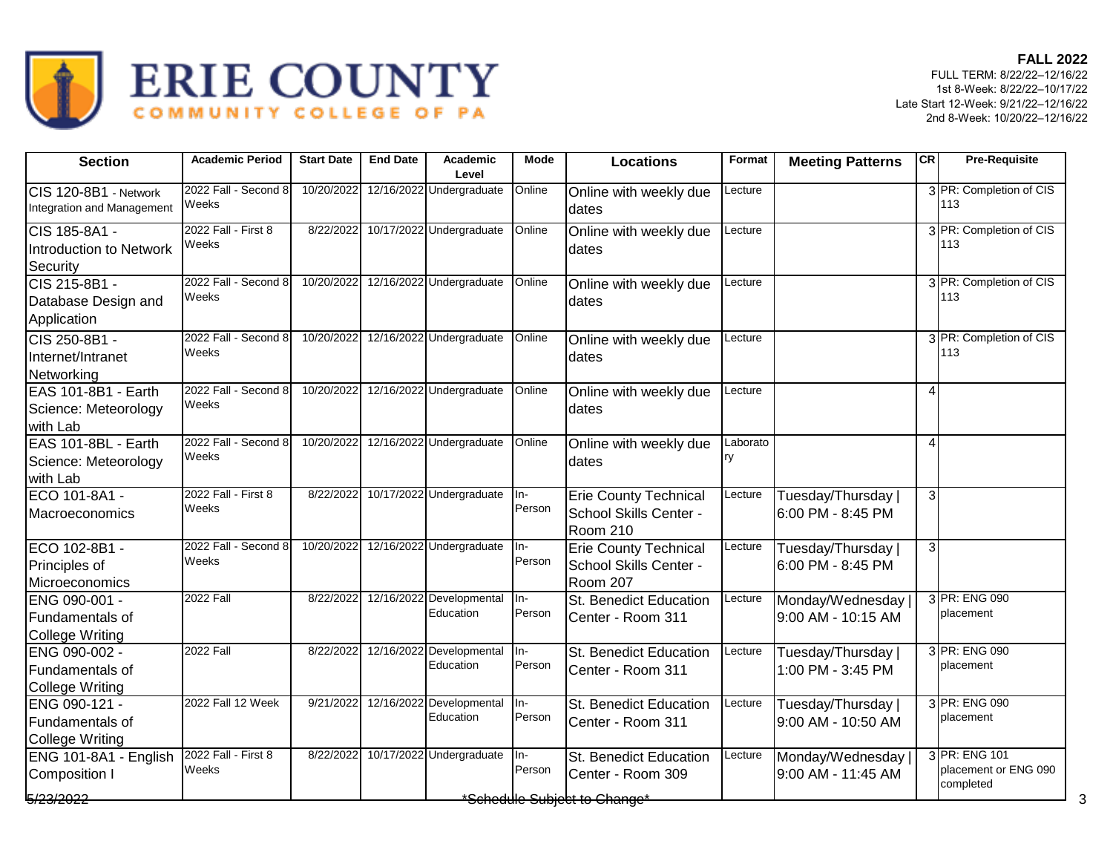

| 3 PR: Completion of CIS<br>2022 Fall - Second 8<br>10/20/2022<br>12/16/2022 Undergraduate<br>CIS 120-8B1 - Network<br>Online<br>Lecture<br>Online with weekly due<br>Weeks<br>113<br>Integration and Management<br>dates<br>2022 Fall - First 8<br>10/17/2022 Undergraduate<br>3 PR: Completion of CIS<br>8/22/2022<br>Online<br>Lecture<br>Online with weekly due<br>Weeks<br>113<br><b>Introduction to Network</b><br>dates<br>Security<br>2022 Fall - Second 8<br>12/16/2022 Undergraduate<br>3 PR: Completion of CIS<br>CIS 215-8B1 -<br>10/20/2022<br>Online<br>Lecture<br>Online with weekly due<br>Weeks<br>113<br>Database Design and<br>dates<br>Application<br>12/16/2022 Undergraduate<br>2022 Fall - Second 8<br>10/20/2022<br>3 PR: Completion of CIS<br>CIS 250-8B1 -<br>Online<br>Online with weekly due<br>Lecture<br>Weeks<br>113<br>Internet/Intranet<br>dates<br>Networking<br>12/16/2022 Undergraduate<br>EAS 101-8B1 - Earth<br>2022 Fall - Second 8<br>10/20/2022<br>Online<br>Lecture<br>Online with weekly due<br>4<br>Weeks<br>Science: Meteorology<br>dates<br>with Lab<br>EAS 101-8BL - Earth<br>10/20/2022 12/16/2022 Undergraduate<br>2022 Fall - Second 8<br>Online<br>Laborato<br>Online with weekly due<br>$\overline{4}$<br>Weeks<br>ry<br>Science: Meteorology<br>dates<br>with Lab<br>2022 Fall - First 8<br>10/17/2022 Undergraduate<br>ECO 101-8A1 -<br>8/22/2022<br>Tuesday/Thursday  <br>3<br>ln-<br><b>Erie County Technical</b><br>Lecture<br>Weeks<br>Person<br>School Skills Center -<br>6:00 PM - 8:45 PM<br><b>Room 210</b><br>12/16/2022 Undergraduate<br>2022 Fall - Second 8<br>10/20/2022<br>ECO 102-8B1 -<br><b>Erie County Technical</b><br>Tuesday/Thursday<br>3 <sup>1</sup><br>In-<br>Lecture<br>Person<br>Weeks<br>Principles of<br>School Skills Center -<br>6:00 PM - 8:45 PM<br><b>Room 207</b><br>Microeconomics<br><b>2022 Fall</b><br>12/16/2022 Developmental<br>3 PR: ENG 090<br>8/22/2022<br>ENG 090-001 -<br>In-<br>St. Benedict Education<br>Monday/Wednesday<br>Lecture<br>Education<br>Person<br>placement<br>9:00 AM - 10:15 AM<br>Fundamentals of<br>Center - Room 311<br><b>College Writing</b><br><b>2022 Fall</b><br>3 PR: ENG 090<br>12/16/2022 Developmental<br>8/22/2022<br><b>St. Benedict Education</b><br>Tuesday/Thursday<br>ENG 090-002 -<br>ln-<br>Lecture<br>Education<br>Person<br>placement<br>1:00 PM - 3:45 PM<br>Fundamentals of<br>Center - Room 311<br><b>College Writing</b><br>2022 Fall 12 Week<br>12/16/2022 Developmental<br>3 PR: ENG 090<br>9/21/2022<br>ENG 090-121 -<br>In-<br>St. Benedict Education<br>Lecture<br>Tuesday/Thursday  <br>Person<br>Education<br>placement<br>Fundamentals of<br>Center - Room 311<br>9:00 AM - 10:50 AM<br>2022 Fall - First 8<br>10/17/2022 Undergraduate<br>3 PR: ENG 101<br>8/22/2022<br>Monday/Wednesday<br>ENG 101-8A1 - English<br>ln-<br>St. Benedict Education<br>Lecture<br>Weeks<br>Person<br>Center - Room 309<br>9:00 AM - 11:45 AM<br>Composition I | <b>Section</b> | <b>Academic Period</b> | <b>Start Date</b> | <b>End Date</b> | Academic<br>Level | Mode | <b>Locations</b> | Format | <b>Meeting Patterns</b> | <b>CR</b> | <b>Pre-Requisite</b>              |
|------------------------------------------------------------------------------------------------------------------------------------------------------------------------------------------------------------------------------------------------------------------------------------------------------------------------------------------------------------------------------------------------------------------------------------------------------------------------------------------------------------------------------------------------------------------------------------------------------------------------------------------------------------------------------------------------------------------------------------------------------------------------------------------------------------------------------------------------------------------------------------------------------------------------------------------------------------------------------------------------------------------------------------------------------------------------------------------------------------------------------------------------------------------------------------------------------------------------------------------------------------------------------------------------------------------------------------------------------------------------------------------------------------------------------------------------------------------------------------------------------------------------------------------------------------------------------------------------------------------------------------------------------------------------------------------------------------------------------------------------------------------------------------------------------------------------------------------------------------------------------------------------------------------------------------------------------------------------------------------------------------------------------------------------------------------------------------------------------------------------------------------------------------------------------------------------------------------------------------------------------------------------------------------------------------------------------------------------------------------------------------------------------------------------------------------------------------------------------------------------------------------------------------------------------------------------------------------------------------------------------------------------------------------------------------------------------------------------------------------------------------------------------------------------------------------------------------------------------------------------------------------------------------------------------------------------------------------------------------------------------|----------------|------------------------|-------------------|-----------------|-------------------|------|------------------|--------|-------------------------|-----------|-----------------------------------|
| CIS 185-8A1 -<br>Macroeconomics<br><b>College Writing</b>                                                                                                                                                                                                                                                                                                                                                                                                                                                                                                                                                                                                                                                                                                                                                                                                                                                                                                                                                                                                                                                                                                                                                                                                                                                                                                                                                                                                                                                                                                                                                                                                                                                                                                                                                                                                                                                                                                                                                                                                                                                                                                                                                                                                                                                                                                                                                                                                                                                                                                                                                                                                                                                                                                                                                                                                                                                                                                                                            |                |                        |                   |                 |                   |      |                  |        |                         |           |                                   |
|                                                                                                                                                                                                                                                                                                                                                                                                                                                                                                                                                                                                                                                                                                                                                                                                                                                                                                                                                                                                                                                                                                                                                                                                                                                                                                                                                                                                                                                                                                                                                                                                                                                                                                                                                                                                                                                                                                                                                                                                                                                                                                                                                                                                                                                                                                                                                                                                                                                                                                                                                                                                                                                                                                                                                                                                                                                                                                                                                                                                      |                |                        |                   |                 |                   |      |                  |        |                         |           |                                   |
|                                                                                                                                                                                                                                                                                                                                                                                                                                                                                                                                                                                                                                                                                                                                                                                                                                                                                                                                                                                                                                                                                                                                                                                                                                                                                                                                                                                                                                                                                                                                                                                                                                                                                                                                                                                                                                                                                                                                                                                                                                                                                                                                                                                                                                                                                                                                                                                                                                                                                                                                                                                                                                                                                                                                                                                                                                                                                                                                                                                                      |                |                        |                   |                 |                   |      |                  |        |                         |           |                                   |
|                                                                                                                                                                                                                                                                                                                                                                                                                                                                                                                                                                                                                                                                                                                                                                                                                                                                                                                                                                                                                                                                                                                                                                                                                                                                                                                                                                                                                                                                                                                                                                                                                                                                                                                                                                                                                                                                                                                                                                                                                                                                                                                                                                                                                                                                                                                                                                                                                                                                                                                                                                                                                                                                                                                                                                                                                                                                                                                                                                                                      |                |                        |                   |                 |                   |      |                  |        |                         |           |                                   |
|                                                                                                                                                                                                                                                                                                                                                                                                                                                                                                                                                                                                                                                                                                                                                                                                                                                                                                                                                                                                                                                                                                                                                                                                                                                                                                                                                                                                                                                                                                                                                                                                                                                                                                                                                                                                                                                                                                                                                                                                                                                                                                                                                                                                                                                                                                                                                                                                                                                                                                                                                                                                                                                                                                                                                                                                                                                                                                                                                                                                      |                |                        |                   |                 |                   |      |                  |        |                         |           |                                   |
|                                                                                                                                                                                                                                                                                                                                                                                                                                                                                                                                                                                                                                                                                                                                                                                                                                                                                                                                                                                                                                                                                                                                                                                                                                                                                                                                                                                                                                                                                                                                                                                                                                                                                                                                                                                                                                                                                                                                                                                                                                                                                                                                                                                                                                                                                                                                                                                                                                                                                                                                                                                                                                                                                                                                                                                                                                                                                                                                                                                                      |                |                        |                   |                 |                   |      |                  |        |                         |           |                                   |
|                                                                                                                                                                                                                                                                                                                                                                                                                                                                                                                                                                                                                                                                                                                                                                                                                                                                                                                                                                                                                                                                                                                                                                                                                                                                                                                                                                                                                                                                                                                                                                                                                                                                                                                                                                                                                                                                                                                                                                                                                                                                                                                                                                                                                                                                                                                                                                                                                                                                                                                                                                                                                                                                                                                                                                                                                                                                                                                                                                                                      |                |                        |                   |                 |                   |      |                  |        |                         |           |                                   |
|                                                                                                                                                                                                                                                                                                                                                                                                                                                                                                                                                                                                                                                                                                                                                                                                                                                                                                                                                                                                                                                                                                                                                                                                                                                                                                                                                                                                                                                                                                                                                                                                                                                                                                                                                                                                                                                                                                                                                                                                                                                                                                                                                                                                                                                                                                                                                                                                                                                                                                                                                                                                                                                                                                                                                                                                                                                                                                                                                                                                      |                |                        |                   |                 |                   |      |                  |        |                         |           |                                   |
|                                                                                                                                                                                                                                                                                                                                                                                                                                                                                                                                                                                                                                                                                                                                                                                                                                                                                                                                                                                                                                                                                                                                                                                                                                                                                                                                                                                                                                                                                                                                                                                                                                                                                                                                                                                                                                                                                                                                                                                                                                                                                                                                                                                                                                                                                                                                                                                                                                                                                                                                                                                                                                                                                                                                                                                                                                                                                                                                                                                                      |                |                        |                   |                 |                   |      |                  |        |                         |           |                                   |
|                                                                                                                                                                                                                                                                                                                                                                                                                                                                                                                                                                                                                                                                                                                                                                                                                                                                                                                                                                                                                                                                                                                                                                                                                                                                                                                                                                                                                                                                                                                                                                                                                                                                                                                                                                                                                                                                                                                                                                                                                                                                                                                                                                                                                                                                                                                                                                                                                                                                                                                                                                                                                                                                                                                                                                                                                                                                                                                                                                                                      |                |                        |                   |                 |                   |      |                  |        |                         |           |                                   |
|                                                                                                                                                                                                                                                                                                                                                                                                                                                                                                                                                                                                                                                                                                                                                                                                                                                                                                                                                                                                                                                                                                                                                                                                                                                                                                                                                                                                                                                                                                                                                                                                                                                                                                                                                                                                                                                                                                                                                                                                                                                                                                                                                                                                                                                                                                                                                                                                                                                                                                                                                                                                                                                                                                                                                                                                                                                                                                                                                                                                      |                |                        |                   |                 |                   |      |                  |        |                         |           |                                   |
| 5/23/2022<br>*Schedule Subiect to Change*                                                                                                                                                                                                                                                                                                                                                                                                                                                                                                                                                                                                                                                                                                                                                                                                                                                                                                                                                                                                                                                                                                                                                                                                                                                                                                                                                                                                                                                                                                                                                                                                                                                                                                                                                                                                                                                                                                                                                                                                                                                                                                                                                                                                                                                                                                                                                                                                                                                                                                                                                                                                                                                                                                                                                                                                                                                                                                                                                            |                |                        |                   |                 |                   |      |                  |        |                         |           | placement or ENG 090<br>completed |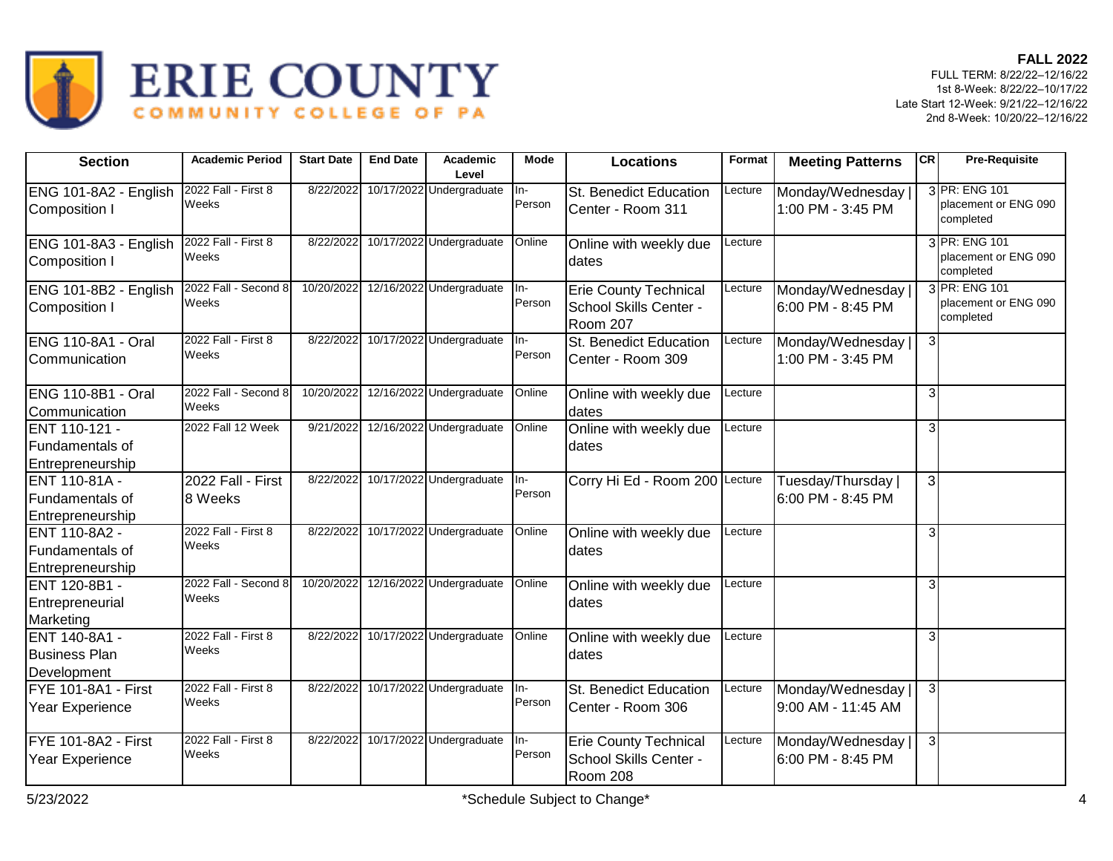

| <b>Section</b>                                               | <b>Academic Period</b>        | <b>Start Date</b> | <b>End Date</b> | Academic<br>Level        | <b>Mode</b>              | <b>Locations</b>                                                   | Format  | <b>Meeting Patterns</b>                 | <b>CR</b>      | <b>Pre-Requisite</b>                               |
|--------------------------------------------------------------|-------------------------------|-------------------|-----------------|--------------------------|--------------------------|--------------------------------------------------------------------|---------|-----------------------------------------|----------------|----------------------------------------------------|
| ENG 101-8A2 - English<br><b>Composition I</b>                | 2022 Fall - First 8<br>Weeks  | 8/22/2022         |                 | 10/17/2022 Undergraduate | In-<br>Person            | St. Benedict Education<br>Center - Room 311                        | Lecture | Monday/Wednesday<br>1:00 PM - 3:45 PM   |                | 3 PR: ENG 101<br>placement or ENG 090<br>completed |
| ENG 101-8A3 - English<br>Composition I                       | 2022 Fall - First 8<br>Weeks  | 8/22/2022         |                 | 10/17/2022 Undergraduate | Online                   | Online with weekly due<br>dates                                    | Lecture |                                         |                | 3 PR: ENG 101<br>placement or ENG 090<br>completed |
| ENG 101-8B2 - English<br>Composition I                       | 2022 Fall - Second 8<br>Weeks | 10/20/2022        |                 | 12/16/2022 Undergraduate | In-<br>Person            | <b>Erie County Technical</b><br>School Skills Center -<br>Room 207 | Lecture | Monday/Wednesday<br>6:00 PM - 8:45 PM   |                | 3 PR: ENG 101<br>placement or ENG 090<br>completed |
| <b>ENG 110-8A1 - Oral</b><br><b>Communication</b>            | 2022 Fall - First 8<br>Weeks  | 8/22/2022         |                 | 10/17/2022 Undergraduate | $\overline{I}$<br>Person | <b>St. Benedict Education</b><br>Center - Room 309                 | Lecture | Monday/Wednesday<br>1:00 PM - 3:45 PM   | $\mathbf{3}$   |                                                    |
| <b>ENG 110-8B1 - Oral</b><br>Communication                   | 2022 Fall - Second 8<br>Weeks | 10/20/2022        |                 | 12/16/2022 Undergraduate | Online                   | Online with weekly due<br>dates                                    | Lecture |                                         | $\overline{3}$ |                                                    |
| <b>IENT 110-121 -</b><br>Fundamentals of<br>Entrepreneurship | 2022 Fall 12 Week             | 9/21/2022         |                 | 12/16/2022 Undergraduate | Online                   | Online with weekly due<br>dates                                    | Lecture |                                         | $\overline{3}$ |                                                    |
| <b>IENT 110-81A -</b><br>Fundamentals of<br>Entrepreneurship | 2022 Fall - First<br>8 Weeks  | 8/22/2022         |                 | 10/17/2022 Undergraduate | $In-$<br>Person          | Corry Hi Ed - Room 200 Lecture                                     |         | Tuesday/Thursday  <br>6:00 PM - 8:45 PM | $\overline{3}$ |                                                    |
| ENT 110-8A2 -<br>Fundamentals of<br>Entrepreneurship         | 2022 Fall - First 8<br>Weeks  | 8/22/2022         |                 | 10/17/2022 Undergraduate | Online                   | Online with weekly due<br>dates                                    | Lecture |                                         | 3              |                                                    |
| ENT 120-8B1 -<br>Entrepreneurial<br>Marketing                | 2022 Fall - Second 8<br>Weeks | 10/20/2022        |                 | 12/16/2022 Undergraduate | Online                   | Online with weekly due<br>dates                                    | _ecture |                                         | 3              |                                                    |
| ENT 140-8A1 -<br><b>Business Plan</b><br>Development         | 2022 Fall - First 8<br>Weeks  | 8/22/2022         |                 | 10/17/2022 Undergraduate | Online                   | Online with weekly due<br>dates                                    | Lecture |                                         | $\overline{3}$ |                                                    |
| FYE 101-8A1 - First<br>Year Experience                       | 2022 Fall - First 8<br>Weeks  | 8/22/2022         |                 | 10/17/2022 Undergraduate | In-<br>Person            | <b>St. Benedict Education</b><br>Center - Room 306                 | Lecture | Monday/Wednesday<br>9:00 AM - 11:45 AM  | $\mathbf{3}$   |                                                    |
| FYE 101-8A2 - First<br>Year Experience                       | 2022 Fall - First 8<br>Weeks  | 8/22/2022         |                 | 10/17/2022 Undergraduate | $In-$<br>Person          | <b>Erie County Technical</b><br>School Skills Center -<br>Room 208 | Lecture | Monday/Wednesday<br>6:00 PM - 8:45 PM   | $\mathbf{3}$   |                                                    |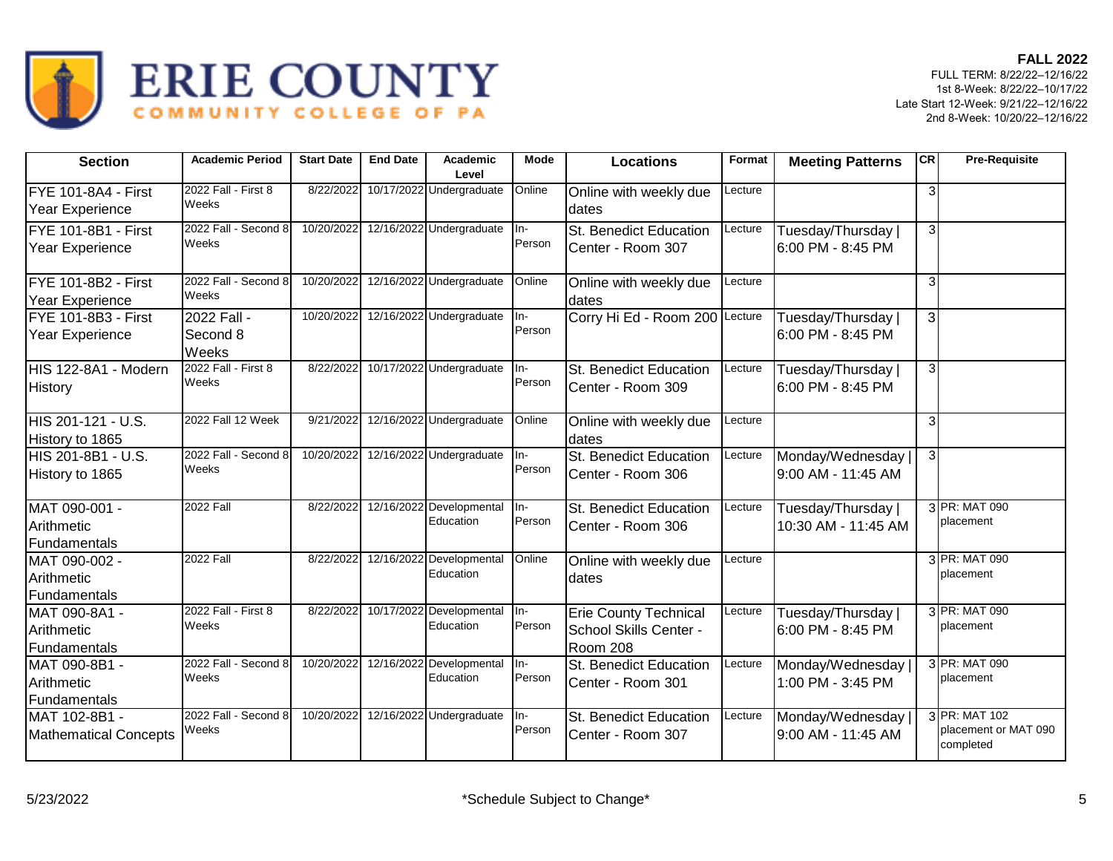

| <b>Section</b>                                | <b>Academic Period</b>           | <b>Start Date</b> | <b>End Date</b> | Academic<br>Level                         | Mode                       | <b>Locations</b>                                                   | Format  | <b>Meeting Patterns</b>                   | <b>CR</b>               | <b>Pre-Requisite</b>                               |
|-----------------------------------------------|----------------------------------|-------------------|-----------------|-------------------------------------------|----------------------------|--------------------------------------------------------------------|---------|-------------------------------------------|-------------------------|----------------------------------------------------|
| FYE 101-8A4 - First<br>Year Experience        | 2022 Fall - First 8<br>Weeks     | 8/22/2022         |                 | 10/17/2022 Undergraduate                  | Online                     | Online with weekly due<br>dates                                    | Lecture |                                           | 3                       |                                                    |
| FYE 101-8B1 - First<br>Year Experience        | 2022 Fall - Second 8<br>Weeks    | 10/20/2022        |                 | 12/16/2022 Undergraduate                  | $In-$<br>Person            | St. Benedict Education<br>Center - Room 307                        | Lecture | Tuesday/Thursday<br>6:00 PM - 8:45 PM     | зI                      |                                                    |
| FYE 101-8B2 - First<br>Year Experience        | 2022 Fall - Second 8<br>Weeks    | 10/20/2022        |                 | 12/16/2022 Undergraduate                  | Online                     | Online with weekly due<br>dates                                    | Lecture |                                           | $\overline{\mathbf{3}}$ |                                                    |
| FYE 101-8B3 - First<br>Year Experience        | 2022 Fall -<br>Second 8<br>Weeks | 10/20/2022        |                 | 12/16/2022 Undergraduate                  | $In-$<br>Person            | Corry Hi Ed - Room 200 Lecture                                     |         | Tuesday/Thursday<br>6:00 PM - 8:45 PM     | 3 <sup>1</sup>          |                                                    |
| HIS 122-8A1 - Modern<br><b>History</b>        | 2022 Fall - First 8<br>Weeks     | 8/22/2022         |                 | 10/17/2022 Undergraduate                  | $In-$<br>Person            | St. Benedict Education<br>Center - Room 309                        | Lecture | Tuesday/Thursday  <br>6:00 PM - 8:45 PM   | 3 <sup>1</sup>          |                                                    |
| HIS 201-121 - U.S.<br>History to 1865         | 2022 Fall 12 Week                | 9/21/2022         |                 | 12/16/2022 Undergraduate                  | Online                     | Online with weekly due<br>dates                                    | Lecture |                                           | 3                       |                                                    |
| HIS 201-8B1 - U.S.<br>History to 1865         | 2022 Fall - Second 8<br>Weeks    | 10/20/2022        |                 | 12/16/2022 Undergraduate                  | $In-$<br>Person            | St. Benedict Education<br>Center - Room 306                        | Lecture | Monday/Wednesday<br>9:00 AM - 11:45 AM    | 3 <sup>l</sup>          |                                                    |
| MAT 090-001 -<br>Arithmetic<br>Fundamentals   | 2022 Fall                        | 8/22/2022         |                 | 12/16/2022 Developmental<br>Education     | $In-$<br>Person            | <b>St. Benedict Education</b><br>Center - Room 306                 | Lecture | Tuesday/Thursday  <br>10:30 AM - 11:45 AM |                         | 3 PR: MAT 090<br>placement                         |
| MAT 090-002 -<br>Arithmetic<br>Fundamentals   | <b>2022 Fall</b>                 | 8/22/2022         |                 | 12/16/2022 Developmental<br>Education     | Online                     | Online with weekly due<br>dates                                    | Lecture |                                           |                         | 3 PR: MAT 090<br>placement                         |
| MAT 090-8A1 -<br>Arithmetic<br>Fundamentals   | 2022 Fall - First 8<br>Weeks     | 8/22/2022         |                 | 10/17/2022 Developmental<br>Education     | $\overline{\ln}$<br>Person | <b>Erie County Technical</b><br>School Skills Center -<br>Room 208 | Lecture | Tuesday/Thursday  <br>6:00 PM - 8:45 PM   |                         | 3 PR: MAT 090<br>placement                         |
| MAT 090-8B1 -<br>Arithmetic<br>Fundamentals   | 2022 Fall - Second 8<br>Weeks    | 10/20/2022        |                 | 12/16/2022 Developmental In-<br>Education | Person                     | St. Benedict Education<br>Center - Room 301                        | Lecture | Monday/Wednesday<br>1:00 PM - 3:45 PM     |                         | 3 PR: MAT 090<br>placement                         |
| MAT 102-8B1 -<br><b>Mathematical Concepts</b> | 2022 Fall - Second 8<br>Weeks    | 10/20/2022        |                 | 12/16/2022 Undergraduate                  | In-<br>Person              | St. Benedict Education<br>Center - Room 307                        | Lecture | Monday/Wednesday<br>9:00 AM - 11:45 AM    |                         | 3 PR: MAT 102<br>placement or MAT 090<br>completed |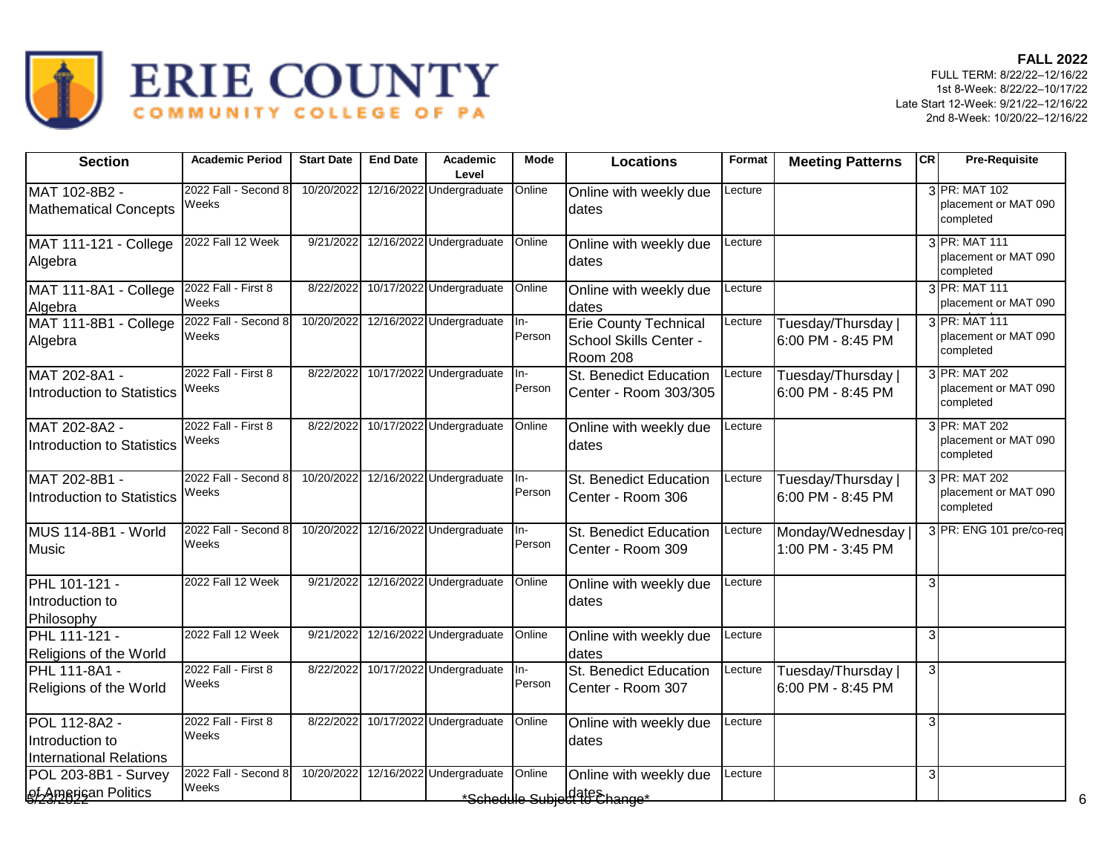

| <b>Section</b>                                                     | <b>Academic Period</b>        | <b>Start Date</b> | <b>End Date</b> | Academic<br>Level                   | <b>Mode</b>     | <b>Locations</b>                                                   | Format  | <b>Meeting Patterns</b>                 | <b>CR</b> | <b>Pre-Requisite</b>                               |
|--------------------------------------------------------------------|-------------------------------|-------------------|-----------------|-------------------------------------|-----------------|--------------------------------------------------------------------|---------|-----------------------------------------|-----------|----------------------------------------------------|
| MAT 102-8B2 -<br><b>Mathematical Concepts</b>                      | 2022 Fall - Second 8<br>Weeks | 10/20/2022        |                 | 12/16/2022 Undergraduate            | Online          | Online with weekly due<br>dates                                    | _ecture |                                         |           | 3 PR: MAT 102<br>placement or MAT 090<br>completed |
| <b>MAT 111-121 - College</b><br>Algebra                            | 2022 Fall 12 Week             | 9/21/2022         |                 | 12/16/2022 Undergraduate            | Online          | Online with weekly due<br>dates                                    | Lecture |                                         |           | 3 PR: MAT 111<br>placement or MAT 090<br>completed |
| MAT 111-8A1 - College<br>Algebra                                   | 2022 Fall - First 8<br>Weeks  | 8/22/2022         |                 | 10/17/2022 Undergraduate            | Online          | Online with weekly due<br>dates                                    | Lecture |                                         |           | 3 PR: MAT 111<br>placement or MAT 090              |
| MAT 111-8B1 - College<br>Algebra                                   | 2022 Fall - Second 8<br>Weeks |                   |                 | 10/20/2022 12/16/2022 Undergraduate | In-<br>Person   | <b>Erie County Technical</b><br>School Skills Center -<br>Room 208 | Lecture | Tuesday/Thursday<br>6:00 PM - 8:45 PM   |           | 3 PR: MAT 111<br>placement or MAT 090<br>completed |
| MAT 202-8A1 -<br>Introduction to Statistics                        | 2022 Fall - First 8<br>Weeks  | 8/22/2022         |                 | 10/17/2022 Undergraduate            | In-<br>Person   | St. Benedict Education<br>Center - Room 303/305                    | Lecture | Tuesday/Thursday<br>6:00 PM - 8:45 PM   |           | 3 PR: MAT 202<br>placement or MAT 090<br>completed |
| MAT 202-8A2 -<br>Introduction to Statistics                        | 2022 Fall - First 8<br>Weeks  | 8/22/2022         |                 | 10/17/2022 Undergraduate            | Online          | Online with weekly due<br>dates                                    | Lecture |                                         |           | 3 PR: MAT 202<br>placement or MAT 090<br>completed |
| MAT 202-8B1 -<br>Introduction to Statistics                        | 2022 Fall - Second 8<br>Weeks | 10/20/2022        |                 | 12/16/2022 Undergraduate            | In-<br>Person   | St. Benedict Education<br>Center - Room 306                        | Lecture | Tuesday/Thursday<br>6:00 PM - 8:45 PM   |           | 3 PR: MAT 202<br>placement or MAT 090<br>completed |
| MUS 114-8B1 - World<br>Music                                       | 2022 Fall - Second 8<br>Weeks | 10/20/2022        |                 | 12/16/2022 Undergraduate            | $In-$<br>Person | St. Benedict Education<br>Center - Room 309                        | Lecture | Monday/Wednesday<br>1:00 PM - 3:45 PM   |           | 3 PR: ENG 101 pre/co-req                           |
| PHL 101-121 -<br>Introduction to<br>Philosophy                     | 2022 Fall 12 Week             | 9/21/2022         |                 | 12/16/2022 Undergraduate            | Online          | Online with weekly due<br>dates                                    | Lecture |                                         | 3         |                                                    |
| PHL 111-121 -<br>Religions of the World                            | 2022 Fall 12 Week             | 9/21/2022         |                 | 12/16/2022 Undergraduate            | Online          | Online with weekly due<br>dates                                    | Lecture |                                         | 3         |                                                    |
| PHL 111-8A1 -<br>Religions of the World                            | 2022 Fall - First 8<br>Weeks  | 8/22/2022         |                 | 10/17/2022 Undergraduate            | In-<br>Person   | St. Benedict Education<br>Center - Room 307                        | Lecture | Tuesday/Thursday  <br>6:00 PM - 8:45 PM | 3         |                                                    |
| POL 112-8A2 -<br>Introduction to<br><b>International Relations</b> | 2022 Fall - First 8<br>Weeks  | 8/22/2022         |                 | 10/17/2022 Undergraduate            | Online          | Online with weekly due<br>dates                                    | _ecture |                                         | 3         |                                                    |
| POL 203-8B1 - Survey<br><b>Qf-Amarigan Politics</b>                | 2022 Fall - Second 8<br>Weeks | 10/20/2022        |                 | 12/16/2022 Undergraduate            | Online          | Online with weekly due<br>*Schedule Subiekter Schangs*             | _ecture |                                         | 3         | 6                                                  |